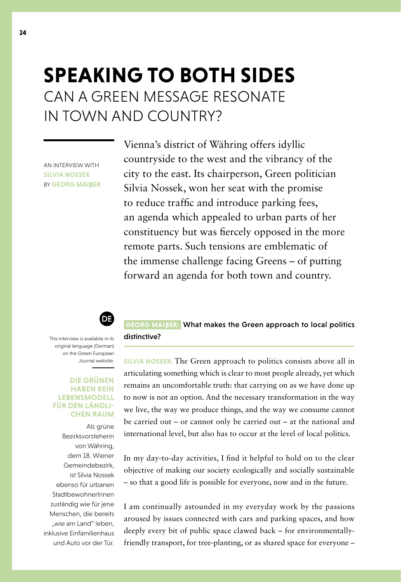## **SPEAKING TO BOTH SIDES** CAN A GREEN MESSAGE RESONATE IN TOWN AND COUNTRY?

AN INTERVIEW WITH **SILVIA NOSSEK BY GEORG MAIRER** 

Vienna's district of Währing offers idyllic countryside to the west and the vibrancy of the city to the east. Its chairperson, Green politician Silvia Nossek, won her seat with the promise to reduce traffic and introduce parking fees, an agenda which appealed to urban parts of her constituency but was fiercely opposed in the more remote parts. Such tensions are emblematic of the immense challenge facing Greens – of putting forward an agenda for both town and country.



This interview is available in its original language (German) on the Green European Journal website.

## **DIE GRÜNEN HABEN KEIN LEBENSMODELL FÜR DEN LÄNDLI-CHEN RAUM**

Als grüne Bezirksvorsteherin von Währing, dem 18. Wiener Gemeindebezirk, ist Silvia Nossek ebenso für urbanen **StadtbewohnerInnen** zuständig wie für jene Menschen, die bereits "wie am Land" leben. inklusive Einfamilienhaus und Auto vor der Tür.

## **GEORG MAIRER:** What makes the Green approach to local politics distinctive?

**SILVIA NOSSEK:** The Green approach to politics consists above all in articulating something which is clear to most people already, yet which remains an uncomfortable truth: that carrying on as we have done up to now is not an option. And the necessary transformation in the way we live, the way we produce things, and the way we consume cannot be carried out – or cannot only be carried out – at the national and international level, but also has to occur at the level of local politics.

In my day-to-day activities, I find it helpful to hold on to the clear objective of making our society ecologically and socially sustainable – so that a good life is possible for everyone, now and in the future.

I am continually astounded in my everyday work by the passions aroused by issues connected with cars and parking spaces, and how deeply every bit of public space clawed back – for environmentallyfriendly transport, for tree-planting, or as shared space for everyone –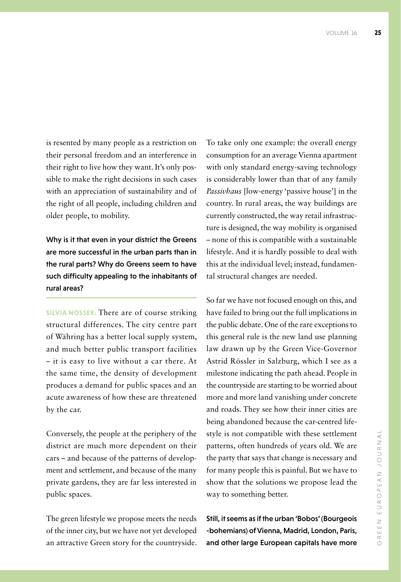is resented by many people as a restriction on their personal freedom and an interference in their right to live how they want. It's only possible to make the right decisions in such cases with an appreciation of sustainability and of the right of all people, including children and older people, to mobility.

Why is it that even in your district the Greens are more successful in the urban parts than in the rural parts? Why do Greens seem to have such difficulty appealing to the inhabitants of rural areas?

**SILVIA NOSSEK:** There are of course striking structural differences. The city centre part of Währing has a better local supply system, and much better public transport facilities – it is easy to live without a car there. At the same time, the density of development produces a demand for public spaces and an acute awareness of how these are threatened by the car.

Conversely, the people at the periphery of the district are much more dependent on their cars – and because of the patterns of development and settlement, and because of the many private gardens, they are far less interested in public spaces.

The green lifestyle we propose meets the needs of the inner city, but we have not yet developed an attractive Green story for the countryside. To take only one example: the overall energy consumption for an average Vienna apartment with only standard energy-saving technology is considerably lower than that of any family *Passivhaus* [low-energy 'passive house'] in the country. In rural areas, the way buildings are currently constructed, the way retail infrastructure is designed, the way mobility is organised – none of this is compatible with a sustainable lifestyle. And it is hardly possible to deal with this at the individual level; instead, fundamental structural changes are needed.

So far we have not focused enough on this, and have failed to bring out the full implications in the public debate. One of the rare exceptions to this general rule is the new land use planning law drawn up by the Green Vice-Governor Astrid Rössler in Salzburg, which I see as a milestone indicating the path ahead. People in the countryside are starting to be worried about more and more land vanishing under concrete and roads. They see how their inner cities are being abandoned because the car-centred lifestyle is not compatible with these settlement patterns, often hundreds of years old. We are the party that says that change is necessary and for many people this is painful. But we have to show that the solutions we propose lead the way to something better.

Still, it seems as if the urban 'Bobos' (Bourgeois -bohemians) of Vienna, Madrid, London, Paris, and other large European capitals have more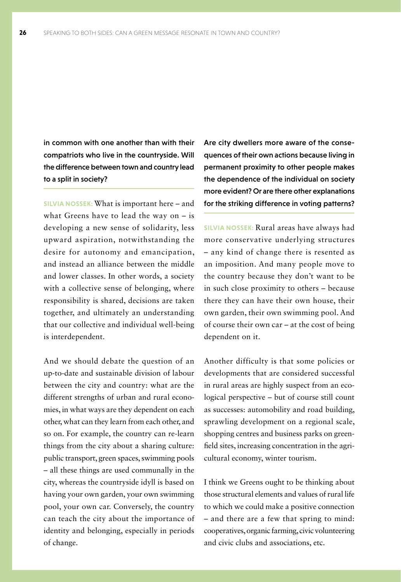in common with one another than with their compatriots who live in the countryside. Will the difference between town and country lead to a split in society?

**SILVIA NOSSEK:** What is important here – and what Greens have to lead the way on – is developing a new sense of solidarity, less upward aspiration, notwithstanding the desire for autonomy and emancipation, and instead an alliance between the middle and lower classes. In other words, a society with a collective sense of belonging, where responsibility is shared, decisions are taken together, and ultimately an understanding that our collective and individual well-being is interdependent.

And we should debate the question of an up-to-date and sustainable division of labour between the city and country: what are the different strengths of urban and rural economies, in what ways are they dependent on each other, what can they learn from each other, and so on. For example, the country can re-learn things from the city about a sharing culture: public transport, green spaces, swimming pools – all these things are used communally in the city, whereas the countryside idyll is based on having your own garden, your own swimming pool, your own car. Conversely, the country can teach the city about the importance of identity and belonging, especially in periods of change.

Are city dwellers more aware of the consequences of their own actions because living in permanent proximity to other people makes the dependence of the individual on society more evident? Or are there other explanations for the striking difference in voting patterns?

**SILVIA NOSSEK:** Rural areas have always had more conservative underlying structures – any kind of change there is resented as an imposition. And many people move to the country because they don't want to be in such close proximity to others – because there they can have their own house, their own garden, their own swimming pool. And of course their own car – at the cost of being dependent on it.

Another difficulty is that some policies or developments that are considered successful in rural areas are highly suspect from an ecological perspective – but of course still count as successes: automobility and road building, sprawling development on a regional scale, shopping centres and business parks on greenfield sites, increasing concentration in the agricultural economy, winter tourism.

I think we Greens ought to be thinking about those structural elements and values of rural life to which we could make a positive connection – and there are a few that spring to mind: cooperatives, organic farming, civic volunteering and civic clubs and associations, etc.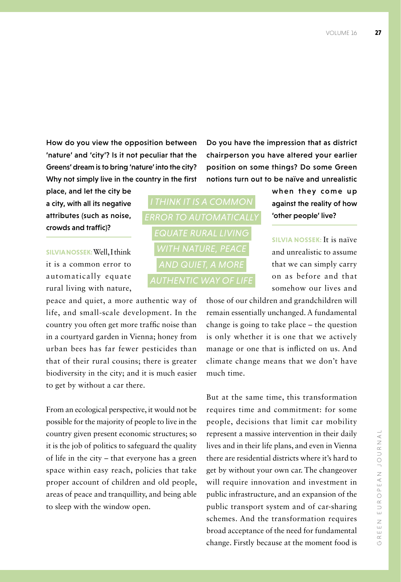How do you view the opposition between 'nature' and 'city'? Is it not peculiar that the Greens' dream is to bring 'nature' into the city? Why not simply live in the country in the first

place, and let the city be a city, with all its negative attributes (such as noise, crowds and traffic)?

**SILVIA NOSSEK:** Well, I think it is a common error to automatically equate rural living with nature,

peace and quiet, a more authentic way of life, and small-scale development. In the country you often get more traffic noise than in a courtyard garden in Vienna; honey from urban bees has far fewer pesticides than that of their rural cousins; there is greater biodiversity in the city; and it is much easier to get by without a car there.

From an ecological perspective, it would not be possible for the majority of people to live in the country given present economic structures; so it is the job of politics to safeguard the quality of life in the city – that everyone has a green space within easy reach, policies that take proper account of children and old people, areas of peace and tranquillity, and being able to sleep with the window open.

*EQUATE RURAL LIVING AND QUIET, A MORE* 

Do you have the impression that as district chairperson you have altered your earlier position on some things? Do some Green notions turn out to be naïve and unrealistic

> when they come up against the reality of how 'other people' live?

**SILVIA NOSSEK:** It is naïve and unrealistic to assume that we can simply carry on as before and that somehow our lives and

those of our children and grandchildren will remain essentially unchanged. A fundamental change is going to take place – the question is only whether it is one that we actively manage or one that is inflicted on us. And climate change means that we don't have much time.

But at the same time, this transformation requires time and commitment: for some people, decisions that limit car mobility represent a massive intervention in their daily lives and in their life plans, and even in Vienna there are residential districts where it's hard to get by without your own car. The changeover will require innovation and investment in public infrastructure, and an expansion of the public transport system and of car-sharing schemes. And the transformation requires broad acceptance of the need for fundamental change. Firstly because at the moment food is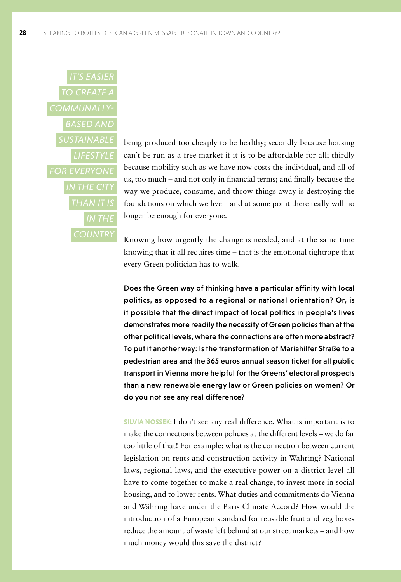

being produced too cheaply to be healthy; secondly because housing can't be run as a free market if it is to be affordable for all; thirdly because mobility such as we have now costs the individual, and all of us, too much – and not only in financial terms; and finally because the way we produce, consume, and throw things away is destroying the foundations on which we live – and at some point there really will no longer be enough for everyone.

Knowing how urgently the change is needed, and at the same time knowing that it all requires time – that is the emotional tightrope that every Green politician has to walk.

Does the Green way of thinking have a particular affinity with local politics, as opposed to a regional or national orientation? Or, is it possible that the direct impact of local politics in people's lives demonstrates more readily the necessity of Green policies than at the other political levels, where the connections are often more abstract? To put it another way: Is the transformation of Mariahilfer Straße to a pedestrian area and the 365 euros annual season ticket for all public transport in Vienna more helpful for the Greens' electoral prospects than a new renewable energy law or Green policies on women? Or do you not see any real difference?

**SILVIA NOSSEK:** I don't see any real difference. What is important is to make the connections between policies at the different levels – we do far too little of that! For example: what is the connection between current legislation on rents and construction activity in Währing? National laws, regional laws, and the executive power on a district level all have to come together to make a real change, to invest more in social housing, and to lower rents. What duties and commitments do Vienna and Währing have under the Paris Climate Accord? How would the introduction of a European standard for reusable fruit and veg boxes reduce the amount of waste left behind at our street markets – and how much money would this save the district?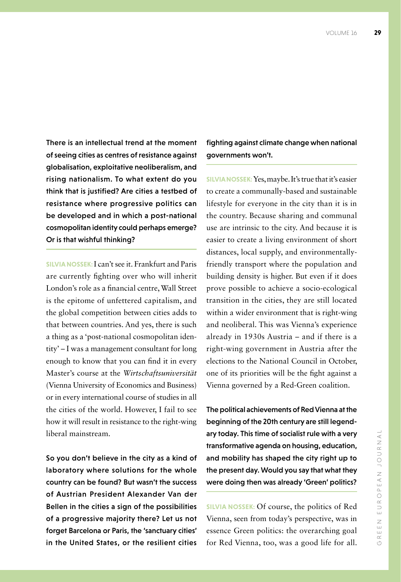There is an intellectual trend at the moment of seeing cities as centres of resistance against globalisation, exploitative neoliberalism, and rising nationalism. To what extent do you think that is justified? Are cities a testbed of resistance where progressive politics can be developed and in which a post-national cosmopolitan identity could perhaps emerge? Or is that wishful thinking?

**SILVIA NOSSEK:** I can't see it. Frankfurt and Paris are currently fighting over who will inherit London's role as a financial centre, Wall Street is the epitome of unfettered capitalism, and the global competition between cities adds to that between countries. And yes, there is such a thing as a 'post-national cosmopolitan identity' – I was a management consultant for long enough to know that you can find it in every Master's course at the *Wirtschaftsuniversität* (Vienna University of Economics and Business) or in every international course of studies in all the cities of the world. However, I fail to see how it will result in resistance to the right-wing liberal mainstream.

So you don't believe in the city as a kind of laboratory where solutions for the whole country can be found? But wasn't the success of Austrian President Alexander Van der Bellen in the cities a sign of the possibilities of a progressive majority there? Let us not forget Barcelona or Paris, the 'sanctuary cities' in the United States, or the resilient cities fighting against climate change when national governments won't.

**SILVIA NOSSEK:** Yes, maybe. It's true that it's easier to create a communally-based and sustainable lifestyle for everyone in the city than it is in the country. Because sharing and communal use are intrinsic to the city. And because it is easier to create a living environment of short distances, local supply, and environmentallyfriendly transport where the population and building density is higher. But even if it does prove possible to achieve a socio-ecological transition in the cities, they are still located within a wider environment that is right-wing and neoliberal. This was Vienna's experience already in 1930s Austria – and if there is a right-wing government in Austria after the elections to the National Council in October, one of its priorities will be the fight against a Vienna governed by a Red-Green coalition.

The political achievements of Red Vienna at the beginning of the 20th century are still legendary today. This time of socialist rule with a very transformative agenda on housing, education, and mobility has shaped the city right up to the present day. Would you say that what they were doing then was already 'Green' politics?

**SILVIA NOSSEK:** Of course, the politics of Red Vienna, seen from today's perspective, was in essence Green politics: the overarching goal for Red Vienna, too, was a good life for all.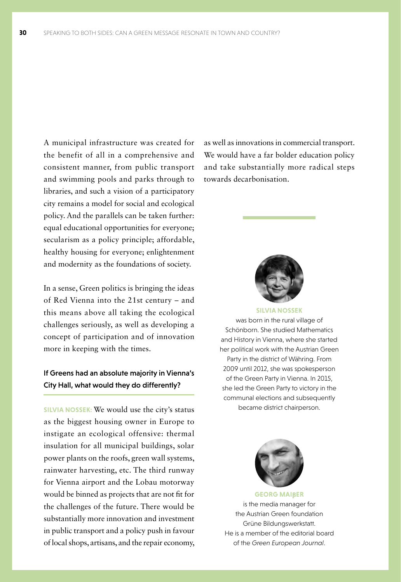A municipal infrastructure was created for the benefit of all in a comprehensive and consistent manner, from public transport and swimming pools and parks through to libraries, and such a vision of a participatory city remains a model for social and ecological policy. And the parallels can be taken further: equal educational opportunities for everyone; secularism as a policy principle; affordable, healthy housing for everyone; enlightenment and modernity as the foundations of society.

In a sense, Green politics is bringing the ideas of Red Vienna into the 21st century – and this means above all taking the ecological challenges seriously, as well as developing a concept of participation and of innovation more in keeping with the times.

## If Greens had an absolute majority in Vienna's City Hall, what would they do differently?

**SILVIA NOSSEK:** We would use the city's status as the biggest housing owner in Europe to instigate an ecological offensive: thermal insulation for all municipal buildings, solar power plants on the roofs, green wall systems, rainwater harvesting, etc. The third runway for Vienna airport and the Lobau motorway would be binned as projects that are not fit for the challenges of the future. There would be substantially more innovation and investment in public transport and a policy push in favour of local shops, artisans, and the repair economy,

as well as innovations in commercial transport. We would have a far bolder education policy and take substantially more radical steps towards decarbonisation.



**SILVIA NOSSEK**

was born in the rural village of Schönborn. She studied Mathematics and History in Vienna, where she started her political work with the Austrian Green Party in the district of Währing. From 2009 until 2012, she was spokesperson of the Green Party in Vienna. In 2015, she led the Green Party to victory in the communal elections and subsequently became district chairperson.



**GEORG MAIBER** is the media manager for the Austrian Green foundation Grüne Bildungswerkstatt. He is a member of the editorial board of the *Green European Journal*.